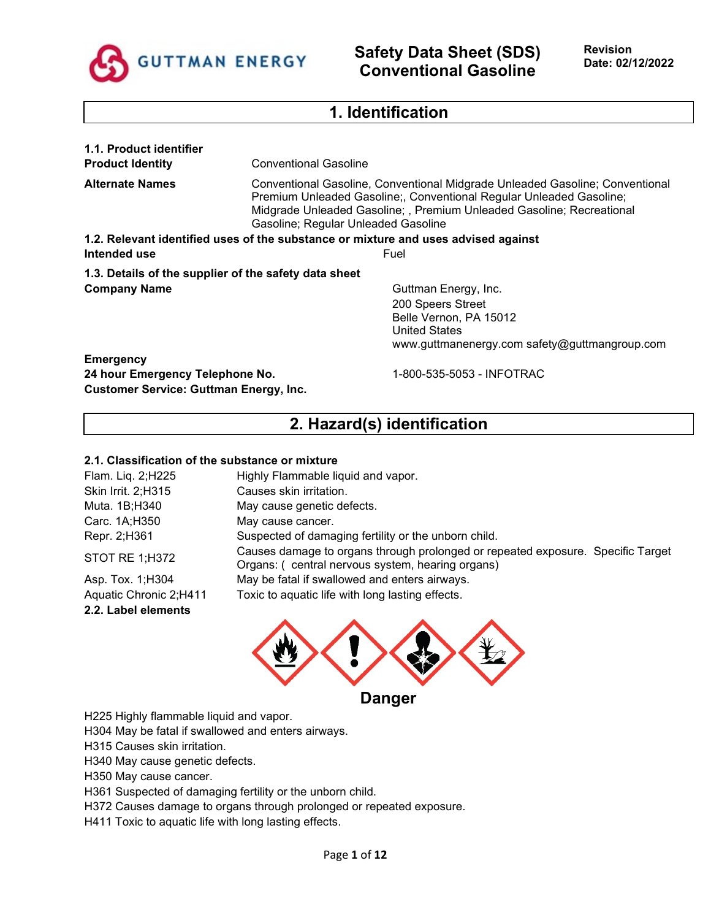

## **1. Identification**

| 1.1. Product identifier                               |                                                                                                                                                                                                                                                                     |  |  |
|-------------------------------------------------------|---------------------------------------------------------------------------------------------------------------------------------------------------------------------------------------------------------------------------------------------------------------------|--|--|
| <b>Product Identity</b>                               | <b>Conventional Gasoline</b>                                                                                                                                                                                                                                        |  |  |
| <b>Alternate Names</b>                                | Conventional Gasoline, Conventional Midgrade Unleaded Gasoline; Conventional<br>Premium Unleaded Gasoline;, Conventional Regular Unleaded Gasoline;<br>Midgrade Unleaded Gasoline; , Premium Unleaded Gasoline; Recreational<br>Gasoline; Regular Unleaded Gasoline |  |  |
|                                                       | 1.2. Relevant identified uses of the substance or mixture and uses advised against                                                                                                                                                                                  |  |  |
| Intended use                                          | Fuel                                                                                                                                                                                                                                                                |  |  |
| 1.3. Details of the supplier of the safety data sheet |                                                                                                                                                                                                                                                                     |  |  |
| <b>Company Name</b>                                   | Guttman Energy, Inc.                                                                                                                                                                                                                                                |  |  |
|                                                       | 200 Speers Street                                                                                                                                                                                                                                                   |  |  |
|                                                       | Belle Vernon, PA 15012                                                                                                                                                                                                                                              |  |  |
|                                                       | United States                                                                                                                                                                                                                                                       |  |  |
|                                                       | www.guttmanenergy.com safety@guttmangroup.com                                                                                                                                                                                                                       |  |  |
| <b>Emergency</b>                                      |                                                                                                                                                                                                                                                                     |  |  |
| 24 hour Emergency Telephone No.                       | 1-800-535-5053 - INFOTRAC                                                                                                                                                                                                                                           |  |  |
| <b>Customer Service: Guttman Energy, Inc.</b>         |                                                                                                                                                                                                                                                                     |  |  |

# **2. Hazard(s) identification**

### **2.1. Classification of the substance or mixture**

| Flam. Lig. 2;H225      | Highly Flammable liquid and vapor.                                                                                                  |
|------------------------|-------------------------------------------------------------------------------------------------------------------------------------|
| Skin Irrit. 2; H315    | Causes skin irritation.                                                                                                             |
| Muta. 1B;H340          | May cause genetic defects.                                                                                                          |
| Carc. 1A;H350          | May cause cancer.                                                                                                                   |
| Repr. 2;H361           | Suspected of damaging fertility or the unborn child.                                                                                |
| STOT RE 1;H372         | Causes damage to organs through prolonged or repeated exposure. Specific Target<br>Organs: (central nervous system, hearing organs) |
| Asp. Tox. 1; H304      | May be fatal if swallowed and enters airways.                                                                                       |
| Aquatic Chronic 2;H411 | Toxic to aquatic life with long lasting effects.                                                                                    |

**2.2. Label elements**



H225 Highly flammable liquid and vapor.

H304 May be fatal if swallowed and enters airways.

H315 Causes skin irritation.

H340 May cause genetic defects.

H350 May cause cancer.

H361 Suspected of damaging fertility or the unborn child.

H372 Causes damage to organs through prolonged or repeated exposure.

H411 Toxic to aquatic life with long lasting effects.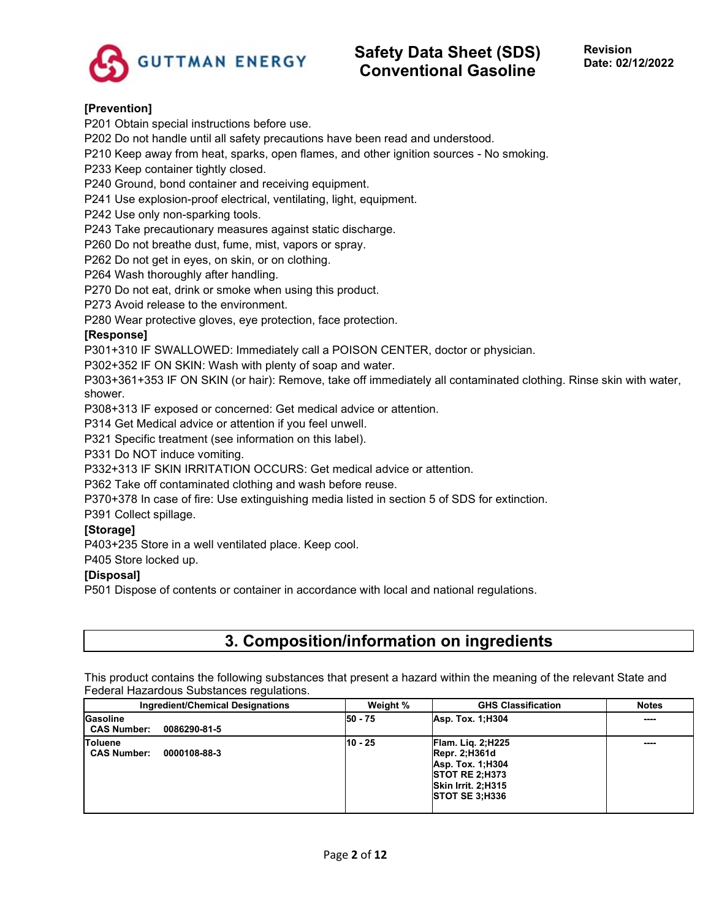

## **[Prevention]**

P201 Obtain special instructions before use.

P202 Do not handle until all safety precautions have been read and understood.

P210 Keep away from heat, sparks, open flames, and other ignition sources - No smoking.

P233 Keep container tightly closed.

P240 Ground, bond container and receiving equipment.

P241 Use explosion-proof electrical, ventilating, light, equipment.

P242 Use only non-sparking tools.

P243 Take precautionary measures against static discharge.

P260 Do not breathe dust, fume, mist, vapors or spray.

P262 Do not get in eyes, on skin, or on clothing.

P264 Wash thoroughly after handling.

P270 Do not eat, drink or smoke when using this product.

P273 Avoid release to the environment.

P280 Wear protective gloves, eye protection, face protection.

### **[Response]**

P301+310 IF SWALLOWED: Immediately call a POISON CENTER, doctor or physician.

P302+352 IF ON SKIN: Wash with plenty of soap and water.

P303+361+353 IF ON SKIN (or hair): Remove, take off immediately all contaminated clothing. Rinse skin with water, shower.

P308+313 IF exposed or concerned: Get medical advice or attention.

P314 Get Medical advice or attention if you feel unwell.

P321 Specific treatment (see information on this label).

P331 Do NOT induce vomiting.

P332+313 IF SKIN IRRITATION OCCURS: Get medical advice or attention.

P362 Take off contaminated clothing and wash before reuse.

P370+378 In case of fire: Use extinguishing media listed in section 5 of SDS for extinction.

P391 Collect spillage.

## **[Storage]**

P403+235 Store in a well ventilated place. Keep cool.

P405 Store locked up.

## **[Disposal]**

P501 Dispose of contents or container in accordance with local and national regulations.

## **3. Composition/information on ingredients**

This product contains the following substances that present a hazard within the meaning of the relevant State and Federal Hazardous Substances regulations.

| Ingredient/Chemical Designations                     | Weight % | <b>GHS Classification</b>                                                                                                                             | <b>Notes</b> |
|------------------------------------------------------|----------|-------------------------------------------------------------------------------------------------------------------------------------------------------|--------------|
| Gasoline<br><b>CAS Number:</b><br>0086290-81-5       | 50 - 75  | Asp. Tox. 1:H304                                                                                                                                      | ----         |
| <b>Toluene</b><br><b>CAS Number:</b><br>0000108-88-3 | 10 - 25  | <b>Flam. Lig. 2; H225</b><br>$\overline{R}$ epr. 2;H361d<br>Asp. Tox. 1:H304<br><b>ISTOT RE 2:H373</b><br>Skin Irrit. 2:H315<br><b>STOT SE 3:H336</b> | ----         |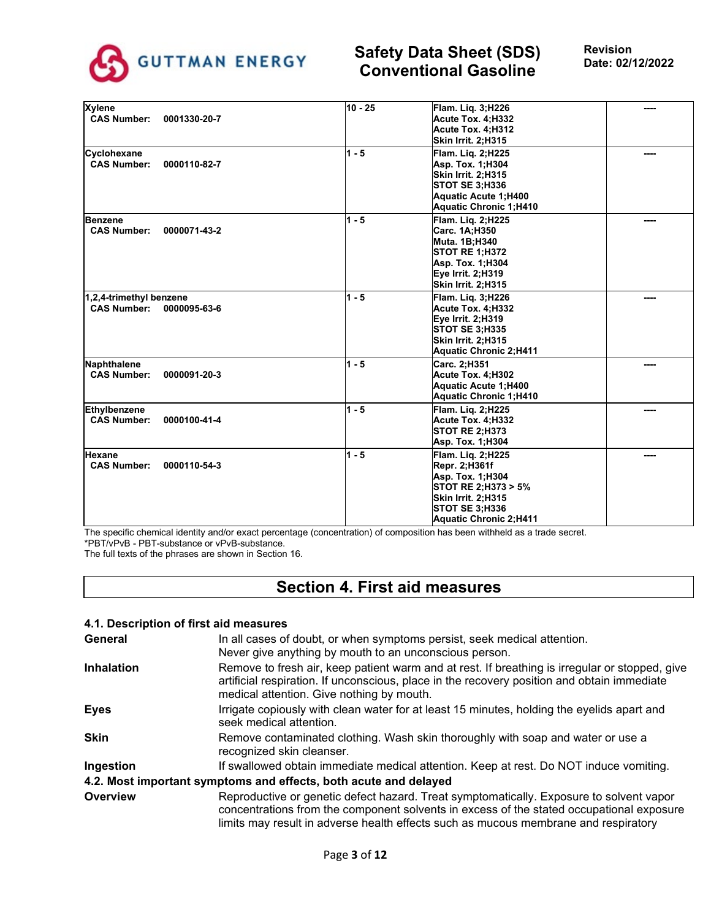

| <b>Xylene</b><br><b>CAS Number:</b><br>0001330-20-7           | $10 - 25$ | Flam. Lig. 3;H226<br>Acute Tox. 4:H332<br>Acute Tox. 4:H312                                                                                            |      |
|---------------------------------------------------------------|-----------|--------------------------------------------------------------------------------------------------------------------------------------------------------|------|
|                                                               |           | Skin Irrit. 2;H315                                                                                                                                     |      |
| Cyclohexane<br><b>CAS Number:</b><br>0000110-82-7             | $1 - 5$   | Flam. Lig. 2;H225<br>Asp. Tox. 1:H304<br>Skin Irrit. 2:H315<br>STOT SE 3:H336<br>Aquatic Acute 1:H400<br>Aquatic Chronic 1;H410                        |      |
| <b>Benzene</b><br><b>CAS Number:</b><br>0000071-43-2          | $1 - 5$   | Flam. Lig. 2;H225<br>Carc. 1A:H350<br><b>Muta. 1B:H340</b><br><b>STOT RE 1;H372</b><br>Asp. Tox. 1:H304<br>Eye Irrit. 2:H319<br>Skin Irrit. 2;H315     |      |
| 1,2,4-trimethyl benzene<br><b>CAS Number:</b><br>0000095-63-6 | $1 - 5$   | Flam. Lig. 3:H226<br>Acute Tox. 4:H332<br>Eye Irrit. 2;H319<br><b>STOT SE 3; H335</b><br>Skin Irrit. 2:H315<br>Aquatic Chronic 2;H411                  |      |
| Naphthalene<br><b>CAS Number:</b><br>0000091-20-3             | $1 - 5$   | Carc. 2:H351<br>Acute Tox. 4:H302<br>Aquatic Acute 1:H400<br>Aquatic Chronic 1;H410                                                                    |      |
| Ethylbenzene<br><b>CAS Number:</b><br>0000100-41-4            | $1 - 5$   | Flam. Lig. 2:H225<br>Acute Tox. 4:H332<br><b>STOT RE 2;H373</b><br>Asp. Tox. 1:H304                                                                    |      |
| Hexane<br><b>CAS Number:</b><br>0000110-54-3                  | $1 - 5$   | <b>Flam. Lig. 2:H225</b><br>Repr. 2:H361f<br>Asp. Tox. 1:H304<br>STOT RE 2;H373 > 5%<br>Skin Irrit. 2;H315<br>STOT SE 3:H336<br>Aquatic Chronic 2:H411 | ---- |

The specific chemical identity and/or exact percentage (concentration) of composition has been withheld as a trade secret. \*PBT/vPvB - PBT-substance or vPvB-substance.

The full texts of the phrases are shown in Section 16.

## **Section 4. First aid measures**

## **4.1. Description of first aid measures General** In all cases of doubt, or when symptoms persist, seek medical attention. Never give anything by mouth to an unconscious person. **Inhalation** Remove to fresh air, keep patient warm and at rest. If breathing is irregular or stopped, give artificial respiration. If unconscious, place in the recovery position and obtain immediate medical attention. Give nothing by mouth. **Eyes I**rrigate copiously with clean water for at least 15 minutes, holding the eyelids apart and seek medical attention. **Skin** Remove contaminated clothing. Wash skin thoroughly with soap and water or use a recognized skin cleanser. **Ingestion** If swallowed obtain immediate medical attention. Keep at rest. Do NOT induce vomiting. **4.2. Most important symptoms and effects, both acute and delayed Overview Reproductive or genetic defect hazard. Treat symptomatically. Exposure to solvent vapor** concentrations from the component solvents in excess of the stated occupational exposure limits may result in adverse health effects such as mucous membrane and respiratory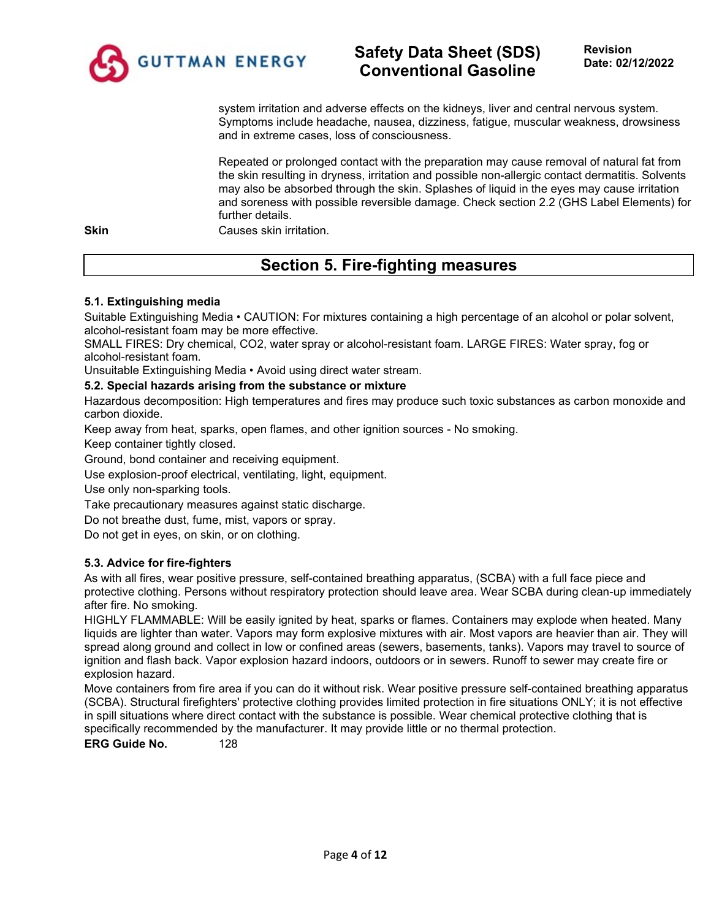

system irritation and adverse effects on the kidneys, liver and central nervous system. Symptoms include headache, nausea, dizziness, fatigue, muscular weakness, drowsiness and in extreme cases, loss of consciousness.

Repeated or prolonged contact with the preparation may cause removal of natural fat from the skin resulting in dryness, irritation and possible non-allergic contact dermatitis. Solvents may also be absorbed through the skin. Splashes of liquid in the eyes may cause irritation and soreness with possible reversible damage. Check section 2.2 (GHS Label Elements) for further details.

**Skin** Causes skin irritation.

# **Section 5. Fire-fighting measures**

## **5.1. Extinguishing media**

Suitable Extinguishing Media • CAUTION: For mixtures containing a high percentage of an alcohol or polar solvent, alcohol-resistant foam may be more effective.

SMALL FIRES: Dry chemical, CO2, water spray or alcohol-resistant foam. LARGE FIRES: Water spray, fog or alcohol-resistant foam.

Unsuitable Extinguishing Media • Avoid using direct water stream.

## **5.2. Special hazards arising from the substance or mixture**

Hazardous decomposition: High temperatures and fires may produce such toxic substances as carbon monoxide and carbon dioxide.

Keep away from heat, sparks, open flames, and other ignition sources - No smoking.

Keep container tightly closed.

Ground, bond container and receiving equipment.

Use explosion-proof electrical, ventilating, light, equipment.

Use only non-sparking tools.

Take precautionary measures against static discharge.

Do not breathe dust, fume, mist, vapors or spray.

Do not get in eyes, on skin, or on clothing.

## **5.3. Advice for fire-fighters**

As with all fires, wear positive pressure, self-contained breathing apparatus, (SCBA) with a full face piece and protective clothing. Persons without respiratory protection should leave area. Wear SCBA during clean-up immediately after fire. No smoking.

HIGHLY FLAMMABLE: Will be easily ignited by heat, sparks or flames. Containers may explode when heated. Many liquids are lighter than water. Vapors may form explosive mixtures with air. Most vapors are heavier than air. They will spread along ground and collect in low or confined areas (sewers, basements, tanks). Vapors may travel to source of ignition and flash back. Vapor explosion hazard indoors, outdoors or in sewers. Runoff to sewer may create fire or explosion hazard.

Move containers from fire area if you can do it without risk. Wear positive pressure self-contained breathing apparatus (SCBA). Structural firefighters' protective clothing provides limited protection in fire situations ONLY; it is not effective in spill situations where direct contact with the substance is possible. Wear chemical protective clothing that is specifically recommended by the manufacturer. It may provide little or no thermal protection.

**ERG Guide No.** 128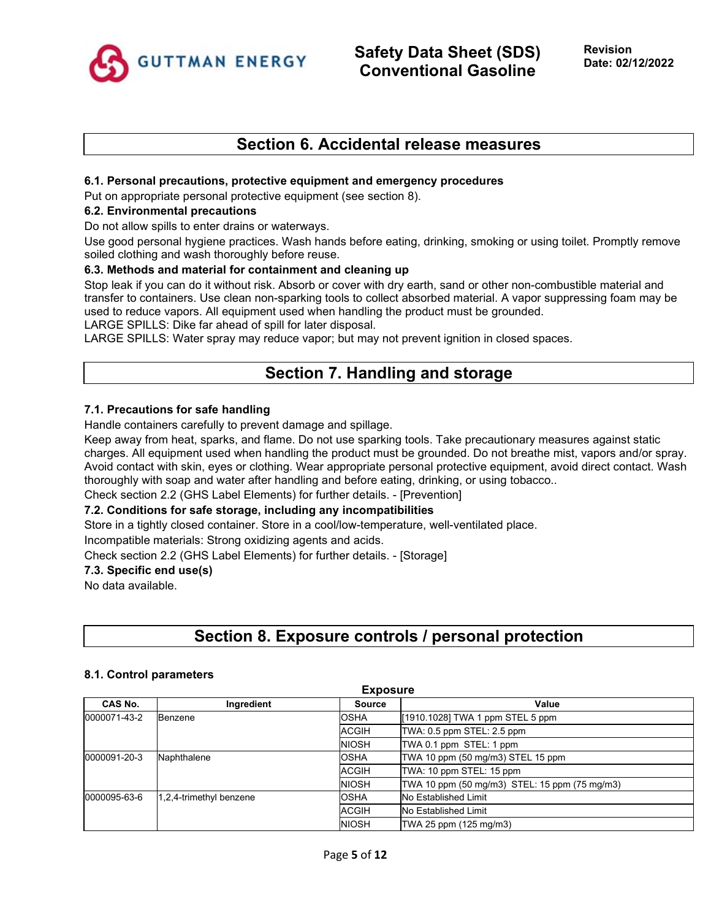

## **Section 6. Accidental release measures**

### **6.1. Personal precautions, protective equipment and emergency procedures**

Put on appropriate personal protective equipment (see section 8).

#### **6.2. Environmental precautions**

Do not allow spills to enter drains or waterways.

Use good personal hygiene practices. Wash hands before eating, drinking, smoking or using toilet. Promptly remove soiled clothing and wash thoroughly before reuse.

#### **6.3. Methods and material for containment and cleaning up**

Stop leak if you can do it without risk. Absorb or cover with dry earth, sand or other non-combustible material and transfer to containers. Use clean non-sparking tools to collect absorbed material. A vapor suppressing foam may be used to reduce vapors. All equipment used when handling the product must be grounded.

LARGE SPILLS: Dike far ahead of spill for later disposal.

LARGE SPILLS: Water spray may reduce vapor; but may not prevent ignition in closed spaces.

## **Section 7. Handling and storage**

#### **7.1. Precautions for safe handling**

Handle containers carefully to prevent damage and spillage.

Keep away from heat, sparks, and flame. Do not use sparking tools. Take precautionary measures against static charges. All equipment used when handling the product must be grounded. Do not breathe mist, vapors and/or spray. Avoid contact with skin, eyes or clothing. Wear appropriate personal protective equipment, avoid direct contact. Wash thoroughly with soap and water after handling and before eating, drinking, or using tobacco..

Check section 2.2 (GHS Label Elements) for further details. - [Prevention]

## **7.2. Conditions for safe storage, including any incompatibilities**

Store in a tightly closed container. Store in a cool/low-temperature, well-ventilated place.

Incompatible materials: Strong oxidizing agents and acids.

Check section 2.2 (GHS Label Elements) for further details. - [Storage]

### **7.3. Specific end use(s)**

No data available.

## **Section 8. Exposure controls / personal protection**

#### **8.1. Control parameters**

| <b>Exposure</b>             |                         |                                   |                                               |  |
|-----------------------------|-------------------------|-----------------------------------|-----------------------------------------------|--|
| CAS No.                     | Ingredient              | <b>Source</b>                     | Value                                         |  |
| 0000071-43-2                | <b>Benzene</b>          | <b>OSHA</b>                       | [1910.1028] TWA 1 ppm STEL 5 ppm              |  |
|                             |                         | ACGIH                             | TWA: 0.5 ppm STEL: 2.5 ppm                    |  |
|                             |                         | <b>NIOSH</b>                      | TWA 0.1 ppm STEL: 1 ppm                       |  |
| 0000091-20-3<br>Naphthalene | <b>OSHA</b>             | TWA 10 ppm (50 mg/m3) STEL 15 ppm |                                               |  |
|                             |                         | <b>ACGIH</b>                      | TWA: 10 ppm STEL: 15 ppm                      |  |
|                             |                         | <b>NIOSH</b>                      | TWA 10 ppm (50 mg/m3) STEL: 15 ppm (75 mg/m3) |  |
| 0000095-63-6                | 1,2,4-trimethyl benzene | <b>OSHA</b>                       | <b>No Established Limit</b>                   |  |
|                             |                         | <b>ACGIH</b>                      | No Established Limit                          |  |
|                             |                         | <b>NIOSH</b>                      | TWA 25 ppm (125 mg/m3)                        |  |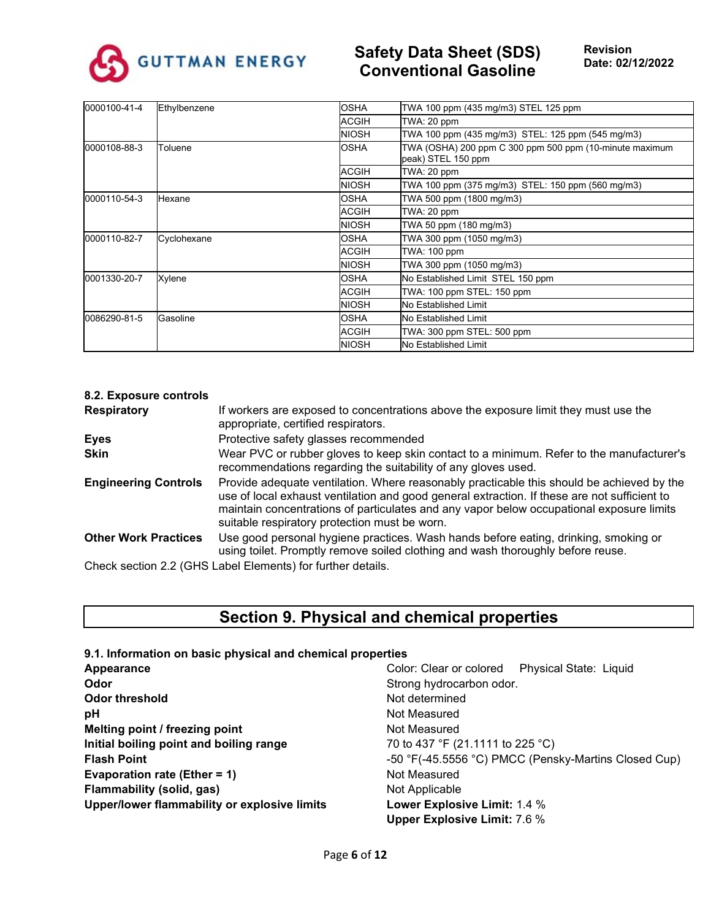

| 0000100-41-4 | Ethylbenzene | <b>OSHA</b>  | TWA 100 ppm (435 mg/m3) STEL 125 ppm                                          |  |
|--------------|--------------|--------------|-------------------------------------------------------------------------------|--|
|              |              | <b>ACGIH</b> | TWA: 20 ppm                                                                   |  |
|              |              | <b>NIOSH</b> | TWA 100 ppm (435 mg/m3) STEL: 125 ppm (545 mg/m3)                             |  |
| 0000108-88-3 | Toluene      | <b>OSHA</b>  | TWA (OSHA) 200 ppm C 300 ppm 500 ppm (10-minute maximum<br>peak) STEL 150 ppm |  |
|              |              | <b>ACGIH</b> | TWA: 20 ppm                                                                   |  |
|              |              | <b>NIOSH</b> | TWA 100 ppm (375 mg/m3) STEL: 150 ppm (560 mg/m3)                             |  |
| 0000110-54-3 | Hexane       | <b>OSHA</b>  | TWA 500 ppm (1800 mg/m3)                                                      |  |
|              |              | <b>ACGIH</b> | TWA: 20 ppm                                                                   |  |
|              |              | <b>NIOSH</b> | TWA 50 ppm (180 mg/m3)                                                        |  |
| 0000110-82-7 | Cyclohexane  | <b>OSHA</b>  | TWA 300 ppm (1050 mg/m3)                                                      |  |
|              |              | <b>ACGIH</b> | <b>TWA: 100 ppm</b>                                                           |  |
|              |              | <b>NIOSH</b> | TWA 300 ppm (1050 mg/m3)                                                      |  |
| 0001330-20-7 | Xylene       | OSHA         | No Established Limit STEL 150 ppm                                             |  |
|              |              | <b>ACGIH</b> | TWA: 100 ppm STEL: 150 ppm                                                    |  |
|              |              | <b>NIOSH</b> | No Established Limit                                                          |  |
| 0086290-81-5 | Gasoline     | <b>OSHA</b>  | <b>No Established Limit</b>                                                   |  |
|              |              | <b>ACGIH</b> | TWA: 300 ppm STEL: 500 ppm                                                    |  |
|              |              | <b>NIOSH</b> | No Established Limit                                                          |  |

| 8.2. Exposure controls      |                                                                                                                                                                                                                                                                                                                                        |
|-----------------------------|----------------------------------------------------------------------------------------------------------------------------------------------------------------------------------------------------------------------------------------------------------------------------------------------------------------------------------------|
| <b>Respiratory</b>          | If workers are exposed to concentrations above the exposure limit they must use the<br>appropriate, certified respirators.                                                                                                                                                                                                             |
| <b>Eyes</b>                 | Protective safety glasses recommended                                                                                                                                                                                                                                                                                                  |
| <b>Skin</b>                 | Wear PVC or rubber gloves to keep skin contact to a minimum. Refer to the manufacturer's<br>recommendations regarding the suitability of any gloves used.                                                                                                                                                                              |
| <b>Engineering Controls</b> | Provide adequate ventilation. Where reasonably practicable this should be achieved by the<br>use of local exhaust ventilation and good general extraction. If these are not sufficient to<br>maintain concentrations of particulates and any vapor below occupational exposure limits<br>suitable respiratory protection must be worn. |
| <b>Other Work Practices</b> | Use good personal hygiene practices. Wash hands before eating, drinking, smoking or<br>using toilet. Promptly remove soiled clothing and wash thoroughly before reuse.                                                                                                                                                                 |
|                             | Check section 2.2 (GHS Label Elements) for further details.                                                                                                                                                                                                                                                                            |

# **Section 9. Physical and chemical properties**

| 9.1. Information on basic physical and chemical properties |                                                          |
|------------------------------------------------------------|----------------------------------------------------------|
| Appearance                                                 | <b>Physical State: Liquid</b><br>Color: Clear or colored |
| Odor                                                       | Strong hydrocarbon odor.                                 |
| Odor threshold                                             | Not determined                                           |
| рH                                                         | Not Measured                                             |
| Melting point / freezing point                             | Not Measured                                             |
| Initial boiling point and boiling range                    | 70 to 437 °F (21.1111 to 225 °C)                         |
| <b>Flash Point</b>                                         | -50 °F(-45.5556 °C) PMCC (Pensky-Martins Closed Cup)     |
| <b>Evaporation rate (Ether = 1)</b>                        | Not Measured                                             |
| Flammability (solid, gas)                                  | Not Applicable                                           |
| Upper/lower flammability or explosive limits               | Lower Explosive Limit: 1.4 %                             |
|                                                            | <b>Upper Explosive Limit: 7.6 %</b>                      |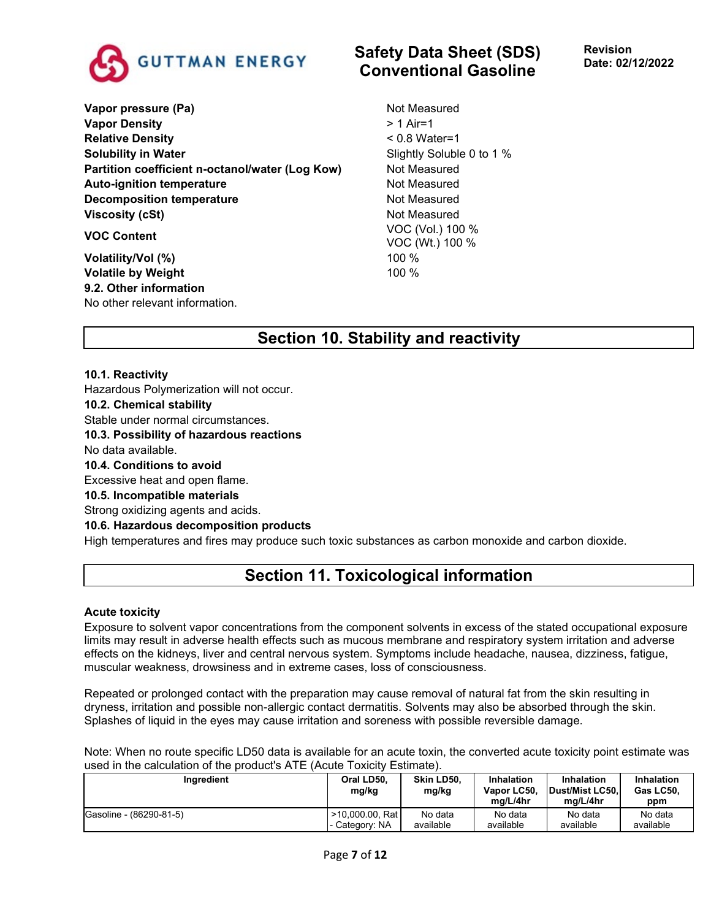

**Vapor pressure (Pa)** Not Measured **Vapor Density**  $> 1$  Air=1 **Relative Density COMPONE Relative Density**  $< 0.8$  Water=1 **Solubility in Water** Soluble 0 to 1 % **Partition coefficient n-octanol/water (Log Kow)** Not Measured Auto-ignition temperature **Not Auto-ignition temperature** Not Measured **Decomposition temperature** Not Measured **Viscosity (cSt)** Not Measured **VOC Content** VOC (Vol.) 100 %

**Volatility/Vol (%)** 100 % **Volatile by Weight** 100 % **9.2. Other information** No other relevant information.

## **Safety Data Sheet (SDS) Conventional Gasoline**

**Revision Date: 02/12/2022**

VOC (Wt.) 100 %

# **Section 10. Stability and reactivity**

**10.1. Reactivity**

Hazardous Polymerization will not occur.

**10.2. Chemical stability**

Stable under normal circumstances.

**10.3. Possibility of hazardous reactions**

No data available.

**10.4. Conditions to avoid**

Excessive heat and open flame.

## **10.5. Incompatible materials**

Strong oxidizing agents and acids.

## **10.6. Hazardous decomposition products**

High temperatures and fires may produce such toxic substances as carbon monoxide and carbon dioxide.

# **Section 11. Toxicological information**

#### **Acute toxicity**

Exposure to solvent vapor concentrations from the component solvents in excess of the stated occupational exposure limits may result in adverse health effects such as mucous membrane and respiratory system irritation and adverse effects on the kidneys, liver and central nervous system. Symptoms include headache, nausea, dizziness, fatigue, muscular weakness, drowsiness and in extreme cases, loss of consciousness.

Repeated or prolonged contact with the preparation may cause removal of natural fat from the skin resulting in dryness, irritation and possible non-allergic contact dermatitis. Solvents may also be absorbed through the skin. Splashes of liquid in the eyes may cause irritation and soreness with possible reversible damage.

Note: When no route specific LD50 data is available for an acute toxin, the converted acute toxicity point estimate was used in the calculation of the product's ATE (Acute Toxicity Estimate).

| Ingredient              | Oral LD50.<br>mg/kg | Skin LD50.<br>mg/kg | Inhalation<br>Vapor LC50.<br>ma/L/4hr | Inhalation<br>Dust/Mist LC50.<br>ma/L/4hr | Inhalation<br>Gas LC50.<br>ppm |
|-------------------------|---------------------|---------------------|---------------------------------------|-------------------------------------------|--------------------------------|
| Gasoline - (86290-81-5) | >10,000.00, Rat     | No data             | No data                               | No data                                   | No data                        |
|                         | I- Category: NA     | available           | available                             | available                                 | available                      |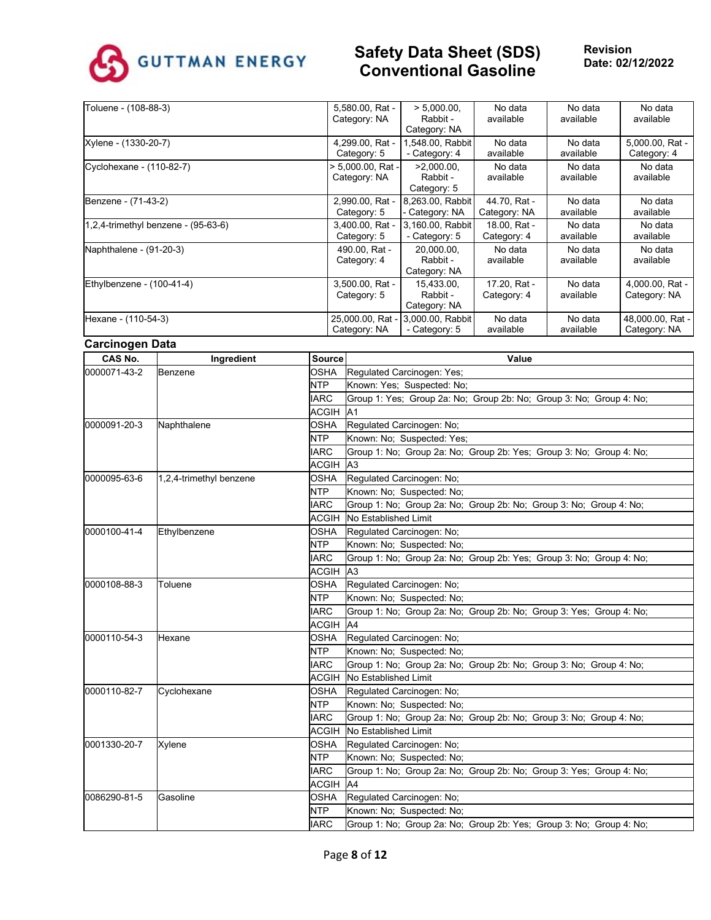

| Toluene - (108-88-3)                        | 5,580.00, Rat -<br>Category: NA   | $> 5.000.00$ .<br>Rabbit -<br>Category: NA | No data<br>available         | No data<br>available | No data<br>available             |
|---------------------------------------------|-----------------------------------|--------------------------------------------|------------------------------|----------------------|----------------------------------|
| Xylene - (1330-20-7)                        | 4,299.00, Rat -<br>Category: 5    | 1,548.00, Rabbit<br>- Category: 4          | No data<br>available         | No data<br>available | 5,000.00, Rat -<br>Category: 4   |
| Cyclohexane - (110-82-7)                    | > 5,000.00, Rat -<br>Category: NA | $>2.000.00$ .<br>Rabbit -<br>Category: 5   | No data<br>available         | No data<br>available | No data<br>available             |
| Benzene - (71-43-2)                         | 2,990.00, Rat -<br>Category: 5    | 8,263.00, Rabbit<br>- Category: NA         | 44.70. Rat -<br>Category: NA | No data<br>available | No data<br>available             |
| $(1, 2, 4$ -trimethyl benzene - $(95-63-6)$ | 3,400.00, Rat -<br>Category: 5    | 3,160.00, Rabbit<br>- Category: 5          | 18.00. Rat -<br>Category: 4  | No data<br>available | No data<br>available             |
| Naphthalene - (91-20-3)                     | 490.00, Rat -<br>Category: 4      | 20,000.00,<br>Rabbit -<br>Category: NA     | No data<br>available         | No data<br>available | No data<br>available             |
| Ethylbenzene - (100-41-4)                   | 3,500.00, Rat -<br>Category: 5    | 15,433.00,<br>Rabbit -<br>Category: NA     | 17.20. Rat -<br>Category: 4  | No data<br>available | 4,000.00, Rat -<br>Category: NA  |
| Hexane - (110-54-3)                         | 25,000.00, Rat -<br>Category: NA  | 3,000.00, Rabbit<br>- Category: 5          | No data<br>available         | No data<br>available | 48,000.00, Rat -<br>Category: NA |

#### **Carcinogen Data**

| CAS No.                 | Ingredient              | <b>Source</b> | Value                                                               |
|-------------------------|-------------------------|---------------|---------------------------------------------------------------------|
| 0000071-43-2            | Benzene                 | OSHA          | Regulated Carcinogen: Yes;                                          |
|                         |                         | NTP           | Known: Yes; Suspected: No;                                          |
|                         |                         | <b>IARC</b>   | Group 1: Yes; Group 2a: No; Group 2b: No; Group 3: No; Group 4: No; |
|                         |                         | ACGIH A1      |                                                                     |
| 0000091-20-3            | Naphthalene             | OSHA          | Regulated Carcinogen: No;                                           |
|                         |                         | NTP           | Known: No; Suspected: Yes;                                          |
|                         |                         | <b>IARC</b>   | Group 1: No; Group 2a: No; Group 2b: Yes; Group 3: No; Group 4: No; |
|                         |                         | ACGIH A3      |                                                                     |
| 0000095-63-6            | 1,2,4-trimethyl benzene | OSHA          | Regulated Carcinogen: No;                                           |
|                         |                         | <b>NTP</b>    | Known: No; Suspected: No;                                           |
|                         |                         | <b>IARC</b>   | Group 1: No; Group 2a: No; Group 2b: No; Group 3: No; Group 4: No;  |
|                         |                         | ACGIH         | No Established Limit                                                |
| 0000100-41-4            | Ethylbenzene            | <b>OSHA</b>   | Regulated Carcinogen: No;                                           |
|                         |                         | <b>NTP</b>    | Known: No; Suspected: No;                                           |
|                         |                         | <b>IARC</b>   | Group 1: No; Group 2a: No; Group 2b: Yes; Group 3: No; Group 4: No; |
|                         |                         | <b>ACGIH</b>  | A <sub>3</sub>                                                      |
| 0000108-88-3<br>Toluene |                         | OSHA          | Regulated Carcinogen: No;                                           |
|                         |                         | <b>NTP</b>    | Known: No: Suspected: No:                                           |
|                         |                         | <b>IARC</b>   | Group 1: No; Group 2a: No; Group 2b: No; Group 3: Yes; Group 4: No; |
|                         |                         | <b>ACGIH</b>  | A4                                                                  |
| 0000110-54-3            | Hexane                  | OSHA          | Regulated Carcinogen: No;                                           |
|                         |                         | <b>NTP</b>    | Known: No: Suspected: No:                                           |
|                         |                         | <b>IARC</b>   | Group 1: No; Group 2a: No; Group 2b: No; Group 3: No; Group 4: No;  |
|                         |                         | <b>ACGIH</b>  | No Established Limit                                                |
| 0000110-82-7            | Cyclohexane             | OSHA          | Regulated Carcinogen: No;                                           |
|                         |                         | <b>NTP</b>    | Known: No: Suspected: No:                                           |
|                         |                         | <b>IARC</b>   | Group 1: No; Group 2a: No; Group 2b: No; Group 3: No; Group 4: No;  |
|                         |                         | <b>ACGIH</b>  | No Established Limit                                                |
| 0001330-20-7            | Xylene                  | OSHA          | Regulated Carcinogen: No;                                           |
|                         |                         | NTP           | Known: No; Suspected: No;                                           |
|                         |                         | <b>IARC</b>   | Group 1: No; Group 2a: No; Group 2b: No; Group 3: Yes; Group 4: No; |
|                         |                         | <b>ACGIH</b>  | A4                                                                  |
| 0086290-81-5            | Gasoline                | OSHA          | Regulated Carcinogen: No;                                           |
|                         |                         | <b>NTP</b>    | Known: No; Suspected: No;                                           |
|                         |                         | <b>IARC</b>   | Group 1: No; Group 2a: No; Group 2b: Yes; Group 3: No; Group 4: No; |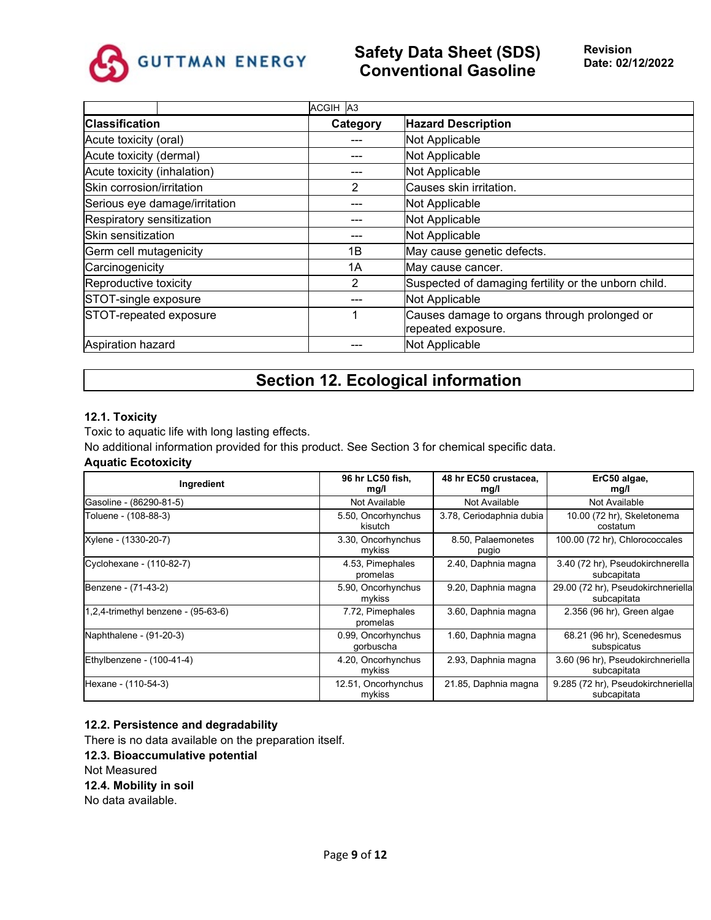

|                               | ACGIH A3 |                                                                    |  |
|-------------------------------|----------|--------------------------------------------------------------------|--|
| <b>Classification</b>         | Category | <b>Hazard Description</b>                                          |  |
| Acute toxicity (oral)         |          | Not Applicable                                                     |  |
| Acute toxicity (dermal)       |          | Not Applicable                                                     |  |
| Acute toxicity (inhalation)   |          | Not Applicable                                                     |  |
| Skin corrosion/irritation     | 2        | Causes skin irritation.                                            |  |
| Serious eye damage/irritation |          | Not Applicable                                                     |  |
| Respiratory sensitization     |          | Not Applicable                                                     |  |
| Skin sensitization            |          | Not Applicable                                                     |  |
| Germ cell mutagenicity        | 1B       | May cause genetic defects.                                         |  |
| Carcinogenicity               | 1A       | May cause cancer.                                                  |  |
| Reproductive toxicity         | 2        | Suspected of damaging fertility or the unborn child.               |  |
| STOT-single exposure          |          | Not Applicable                                                     |  |
| STOT-repeated exposure        |          | Causes damage to organs through prolonged or<br>repeated exposure. |  |
| Aspiration hazard             |          | Not Applicable                                                     |  |

# **Section 12. Ecological information**

#### **12.1. Toxicity**

Toxic to aquatic life with long lasting effects.

No additional information provided for this product. See Section 3 for chemical specific data.

## **Aquatic Ecotoxicity**

| Ingredient                                | 96 hr LC50 fish,<br>mg/l        | 48 hr EC50 crustacea,<br>mg/l | ErC50 algae,<br>mg/l                              |
|-------------------------------------------|---------------------------------|-------------------------------|---------------------------------------------------|
| Gasoline - (86290-81-5)                   | Not Available                   | Not Available                 | Not Available                                     |
| Toluene - (108-88-3)                      | 5.50, Oncorhynchus<br>kisutch   | 3.78, Ceriodaphnia dubia      | 10.00 (72 hr), Skeletonema<br>costatum            |
| Xylene - (1330-20-7)                      | 3.30, Oncorhynchus<br>mykiss    | 8.50, Palaemonetes<br>pugio   | 100.00 (72 hr), Chlorococcales                    |
| Cyclohexane - (110-82-7)                  | 4.53, Pimephales<br>promelas    | 2.40, Daphnia magna           | 3.40 (72 hr), Pseudokirchnerella<br>subcapitata   |
| Benzene - (71-43-2)                       | 5.90, Oncorhynchus<br>mykiss    | 9.20, Daphnia magna           | 29.00 (72 hr), Pseudokirchneriella<br>subcapitata |
| $(1,2,4$ -trimethyl benzene - $(95-63-6)$ | 7.72, Pimephales<br>promelas    | 3.60, Daphnia magna           | 2.356 (96 hr), Green algae                        |
| Naphthalene - (91-20-3)                   | 0.99, Oncorhynchus<br>gorbuscha | 1.60, Daphnia magna           | 68.21 (96 hr), Scenedesmus<br>subspicatus         |
| Ethylbenzene - (100-41-4)                 | 4.20, Oncorhynchus<br>mykiss    | 2.93, Daphnia magna           | 3.60 (96 hr), Pseudokirchneriella<br>subcapitata  |
| Hexane - (110-54-3)                       | 12.51, Oncorhynchus<br>mykiss   | 21.85, Daphnia magna          | 9.285 (72 hr), Pseudokirchneriella<br>subcapitata |

#### **12.2. Persistence and degradability**

There is no data available on the preparation itself.

**12.3. Bioaccumulative potential** Not Measured **12.4. Mobility in soil** No data available.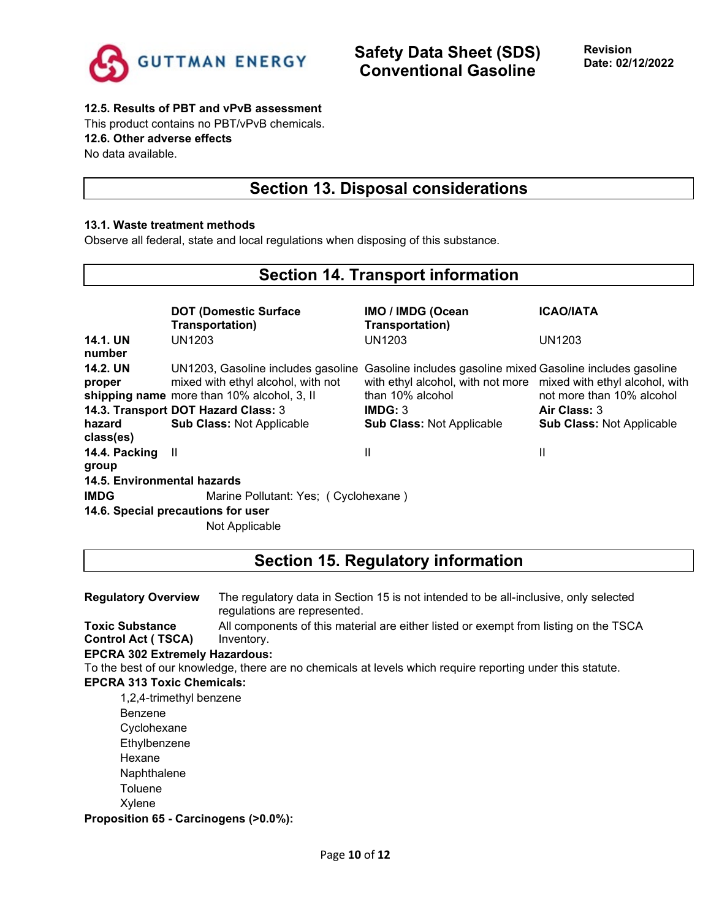

### **12.5. Results of PBT and vPvB assessment**

This product contains no PBT/vPvB chemicals. **12.6. Other adverse effects**

No data available.

## **Section 13. Disposal considerations**

### **13.1. Waste treatment methods**

Observe all federal, state and local regulations when disposing of this substance.

## **Section 14. Transport information**

|                             | <b>DOT (Domestic Surface)</b><br>Transportation)                                                                       | <b>IMO / IMDG (Ocean</b><br>Transportation)                                                                                                         | <b>ICAO/IATA</b>                                 |  |  |
|-----------------------------|------------------------------------------------------------------------------------------------------------------------|-----------------------------------------------------------------------------------------------------------------------------------------------------|--------------------------------------------------|--|--|
| <b>14.1. UN</b><br>number   | UN1203                                                                                                                 | UN1203                                                                                                                                              | UN1203                                           |  |  |
| <b>14.2. UN</b><br>proper   | UN1203, Gasoline includes gasoline<br>mixed with ethyl alcohol, with not<br>shipping name more than 10% alcohol, 3, II | Gasoline includes gasoline mixed Gasoline includes gasoline<br>with ethyl alcohol, with not more mixed with ethyl alcohol, with<br>than 10% alcohol | not more than 10% alcohol                        |  |  |
| hazard<br>class(es)         | 14.3. Transport DOT Hazard Class: 3<br><b>Sub Class: Not Applicable</b>                                                | IMDG: 3<br><b>Sub Class: Not Applicable</b>                                                                                                         | Air Class: 3<br><b>Sub Class: Not Applicable</b> |  |  |
| 14.4. Packing II<br>group   |                                                                                                                        | Ш                                                                                                                                                   | Ш                                                |  |  |
| 14.5. Environmental hazards |                                                                                                                        |                                                                                                                                                     |                                                  |  |  |
| <b>IMDG</b>                 | Marine Pollutant: Yes; (Cyclohexane)<br>14.6. Special precautions for user                                             |                                                                                                                                                     |                                                  |  |  |
|                             | Not Applicable                                                                                                         |                                                                                                                                                     |                                                  |  |  |

# **Section 15. Regulatory information**

| <b>Regulatory Overview</b>            | The regulatory data in Section 15 is not intended to be all-inclusive, only selected<br>regulations are represented. |
|---------------------------------------|----------------------------------------------------------------------------------------------------------------------|
| <b>Toxic Substance</b>                | All components of this material are either listed or exempt from listing on the TSCA                                 |
| <b>Control Act (TSCA)</b>             | Inventory.                                                                                                           |
| <b>EPCRA 302 Extremely Hazardous:</b> |                                                                                                                      |
|                                       | To the best of our knowledge, there are no chemicals at levels which require reporting under this statute.           |
| <b>EPCRA 313 Toxic Chemicals:</b>     |                                                                                                                      |
| 1,2,4-trimethyl benzene               |                                                                                                                      |
| Benzene                               |                                                                                                                      |
| Cyclohexane                           |                                                                                                                      |
| Ethylbenzene                          |                                                                                                                      |
| Hexane                                |                                                                                                                      |
| Naphthalene                           |                                                                                                                      |
| Toluene                               |                                                                                                                      |
| Xylene                                |                                                                                                                      |
|                                       |                                                                                                                      |

**Proposition 65 - Carcinogens (>0.0%):**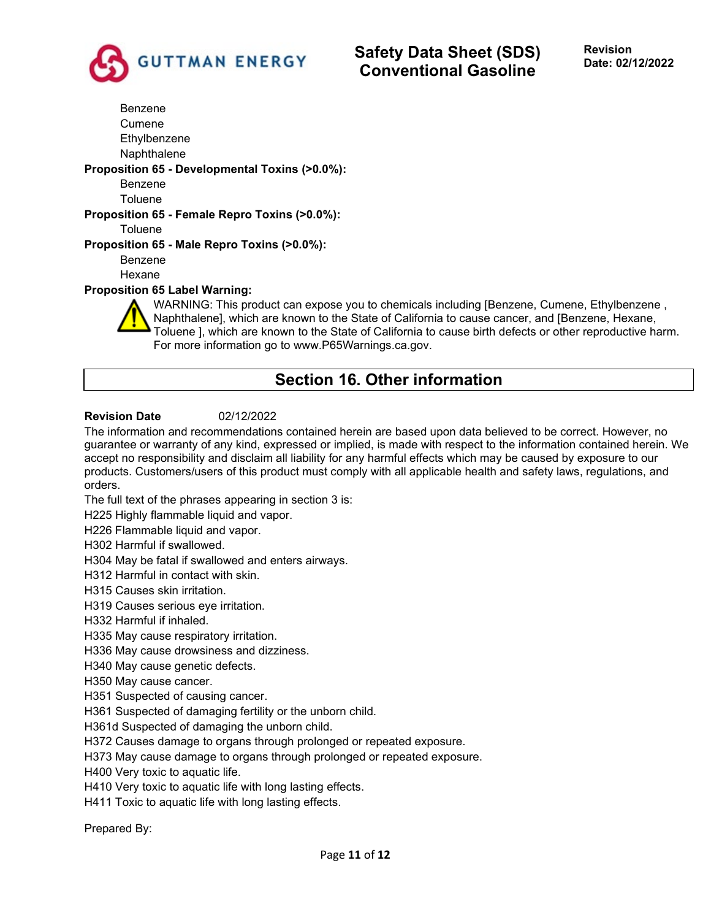

Benzene Cumene **Ethylbenzene** Naphthalene **Proposition 65 - Developmental Toxins (>0.0%):** Benzene Toluene **Proposition 65 - Female Repro Toxins (>0.0%): Toluene Proposition 65 - Male Repro Toxins (>0.0%):** Benzene Hexane **Proposition 65 Label Warning:**

WARNING: This product can expose you to chemicals including [Benzene, Cumene, Ethylbenzene , Naphthalene], which are known to the State of California to cause cancer, and [Benzene, Hexane, Toluene ], which are known to the State of California to cause birth defects or other reproductive harm. For more information go to www.P65Warnings.ca.gov.

# **Section 16. Other information**

## **Revision Date** 02/12/2022

The information and recommendations contained herein are based upon data believed to be correct. However, no guarantee or warranty of any kind, expressed or implied, is made with respect to the information contained herein. We accept no responsibility and disclaim all liability for any harmful effects which may be caused by exposure to our products. Customers/users of this product must comply with all applicable health and safety laws, regulations, and orders.

The full text of the phrases appearing in section 3 is:

H225 Highly flammable liquid and vapor.

H226 Flammable liquid and vapor.

H302 Harmful if swallowed.

H304 May be fatal if swallowed and enters airways.

H312 Harmful in contact with skin.

H315 Causes skin irritation.

H319 Causes serious eye irritation.

H332 Harmful if inhaled.

H335 May cause respiratory irritation.

H336 May cause drowsiness and dizziness.

H340 May cause genetic defects.

H350 May cause cancer.

H351 Suspected of causing cancer.

H361 Suspected of damaging fertility or the unborn child.

H361d Suspected of damaging the unborn child.

H372 Causes damage to organs through prolonged or repeated exposure.

H373 May cause damage to organs through prolonged or repeated exposure.

H400 Very toxic to aquatic life.

H410 Very toxic to aquatic life with long lasting effects.

H411 Toxic to aquatic life with long lasting effects.

Prepared By: